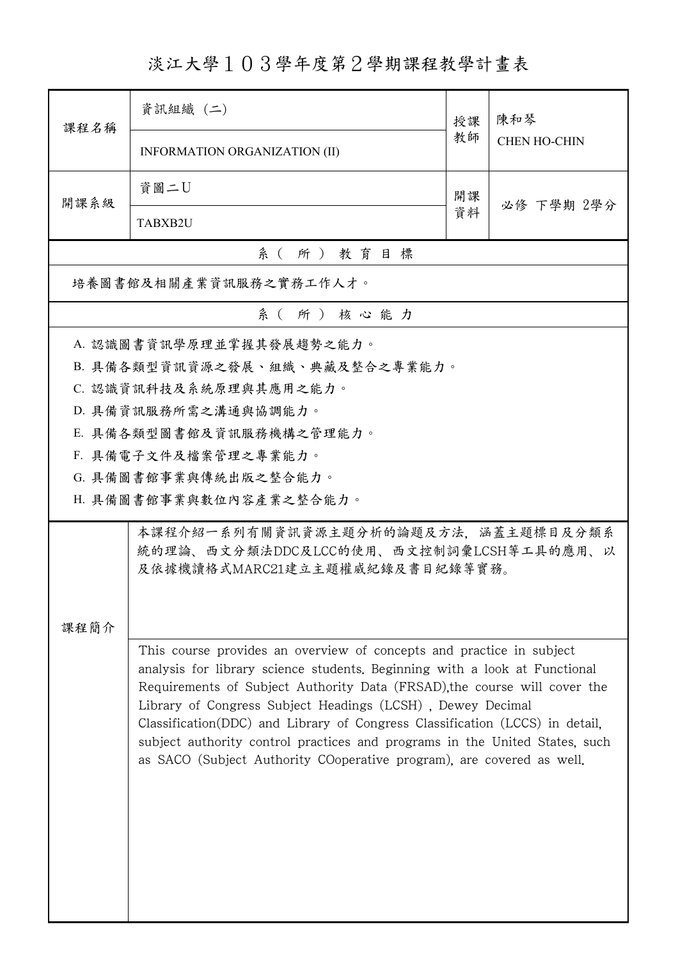淡江大學103學年度第2學期課程教學計畫表

| 課程名稱     | 資訊組織 (二)                                                                                                                                                                                                                                                                                                                                                                                                                                                                                                                              | 授課 | 陳和琴<br><b>CHEN HO-CHIN</b> |  |  |
|----------|---------------------------------------------------------------------------------------------------------------------------------------------------------------------------------------------------------------------------------------------------------------------------------------------------------------------------------------------------------------------------------------------------------------------------------------------------------------------------------------------------------------------------------------|----|----------------------------|--|--|
|          | INFORMATION ORGANIZATION (II)                                                                                                                                                                                                                                                                                                                                                                                                                                                                                                         | 教師 |                            |  |  |
| 開課系級     | 資圖二U                                                                                                                                                                                                                                                                                                                                                                                                                                                                                                                                  | 開課 | 必修 下學期 2學分                 |  |  |
|          | TABXB2U                                                                                                                                                                                                                                                                                                                                                                                                                                                                                                                               | 資料 |                            |  |  |
| 系(所)教育目標 |                                                                                                                                                                                                                                                                                                                                                                                                                                                                                                                                       |    |                            |  |  |
|          | 培養圖書館及相關產業資訊服務之實務工作人才。                                                                                                                                                                                                                                                                                                                                                                                                                                                                                                                |    |                            |  |  |
|          | 系(所)核心能力                                                                                                                                                                                                                                                                                                                                                                                                                                                                                                                              |    |                            |  |  |
|          | A. 認識圖書資訊學原理並掌握其發展趨勢之能力。                                                                                                                                                                                                                                                                                                                                                                                                                                                                                                              |    |                            |  |  |
|          | B. 具備各類型資訊資源之發展、組織、典藏及整合之專業能力。                                                                                                                                                                                                                                                                                                                                                                                                                                                                                                        |    |                            |  |  |
|          | C. 認識資訊科技及系統原理與其應用之能力。                                                                                                                                                                                                                                                                                                                                                                                                                                                                                                                |    |                            |  |  |
|          | D. 具備資訊服務所需之溝通與協調能力。                                                                                                                                                                                                                                                                                                                                                                                                                                                                                                                  |    |                            |  |  |
|          | E. 具備各類型圖書館及資訊服務機構之管理能力。                                                                                                                                                                                                                                                                                                                                                                                                                                                                                                              |    |                            |  |  |
|          | F. 具備電子文件及檔案管理之專業能力。                                                                                                                                                                                                                                                                                                                                                                                                                                                                                                                  |    |                            |  |  |
|          | G. 具備圖書館事業與傳統出版之整合能力。                                                                                                                                                                                                                                                                                                                                                                                                                                                                                                                 |    |                            |  |  |
|          | H. 具備圖書館事業與數位內容產業之整合能力。                                                                                                                                                                                                                                                                                                                                                                                                                                                                                                               |    |                            |  |  |
| 課程簡介     | 本課程介紹一系列有關資訊資源主題分析的論題及方法,涵蓋主題標目及分類系<br>統的理論、西文分類法DDC及LCC的使用、西文控制詞彙LCSH等工具的應用、以<br>及依據機讀格式MARC21建立主題權威紀錄及書目紀錄等實務。                                                                                                                                                                                                                                                                                                                                                                                                                      |    |                            |  |  |
|          | This course provides an overview of concepts and practice in subject<br>analysis for library science students. Beginning with a look at Functional<br>Requirements of Subject Authority Data (FRSAD), the course will cover the<br>Library of Congress Subject Headings (LCSH), Dewey Decimal<br>Classification(DDC) and Library of Congress Classification (LCCS) in detail.<br>subject authority control practices and programs in the United States, such<br>as SACO (Subject Authority COoperative program), are covered as well. |    |                            |  |  |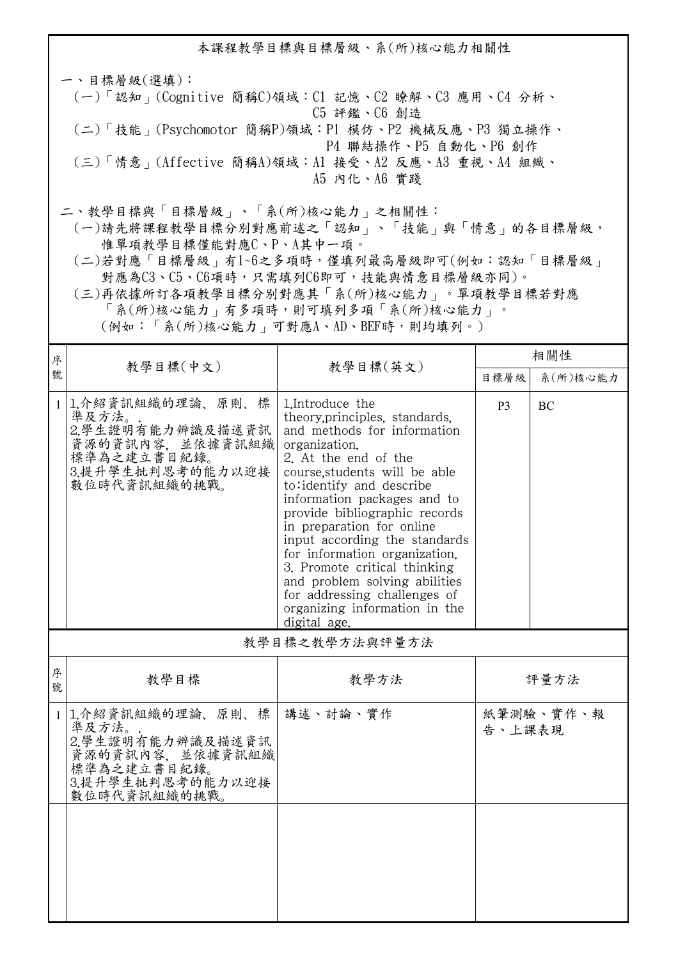本課程教學目標與目標層級、系(所)核心能力相關性 一、目標層級(選填): (一)「認知」(Cognitive 簡稱C)領域:C1 記憶、C2 瞭解、C3 應用、C4 分析、 C5 評鑑、C6 創造 (二)「技能」(Psychomotor 簡稱P)領域:P1 模仿、P2 機械反應、P3 獨立操作、 P4 聯結操作、P5 自動化、P6 創作 (三)「情意」(Affective 簡稱A)領域:A1 接受、A2 反應、A3 重視、A4 組織、 A5 內化、A6 實踐 二、教學目標與「目標層級」、「系(所)核心能力」之相關性:

 (一)請先將課程教學目標分別對應前述之「認知」、「技能」與「情意」的各目標層級, 惟單項教學目標僅能對應C、P、A其中一項。

 (二)若對應「目標層級」有1~6之多項時,僅填列最高層級即可(例如:認知「目標層級」 對應為C3、C5、C6項時,只需填列C6即可,技能與情意目標層級亦同)。

 (三)再依據所訂各項教學目標分別對應其「系(所)核心能力」。單項教學目標若對應 「系(所)核心能力」有多項時,則可填列多項「系(所)核心能力」。

(例如:「系(所)核心能力」可對應A、AD、BEF時,則均填列。)

| 序            |                                                                                                                         |                                                                                                                                                                                                                                                                                                                                                                                                                                                                                                         | 相關性            |           |  |  |
|--------------|-------------------------------------------------------------------------------------------------------------------------|---------------------------------------------------------------------------------------------------------------------------------------------------------------------------------------------------------------------------------------------------------------------------------------------------------------------------------------------------------------------------------------------------------------------------------------------------------------------------------------------------------|----------------|-----------|--|--|
| 號            | 教學目標(中文)                                                                                                                | 教學目標(英文)                                                                                                                                                                                                                                                                                                                                                                                                                                                                                                | 目標層級           | 系(所)核心能力  |  |  |
| $\mathbf{1}$ | 1.介紹資訊組織的理論、原則、<br>標<br>準及方法。<br>2.學生證明有能力辨識及描述資訊<br>資源的資訊內容,並依據資訊組織<br>標準為之建立書目紀錄。<br>3.提升學生批判思考的能力以迎接<br>數位時代資訊組織的挑戰。 | 1. Introduce the<br>theory.principles, standards,<br>and methods for information<br>organization.<br>2. At the end of the<br>course, students will be able<br>to:identify and describe<br>information packages and to<br>provide bibliographic records<br>in preparation for online<br>input according the standards<br>for information organization.<br>3. Promote critical thinking<br>and problem solving abilities<br>for addressing challenges of<br>organizing information in the<br>digital age. | P <sub>3</sub> | <b>BC</b> |  |  |
|              | 教學目標之教學方法與評量方法                                                                                                          |                                                                                                                                                                                                                                                                                                                                                                                                                                                                                                         |                |           |  |  |
| 序<br>號       | 教學目標                                                                                                                    | 教學方法                                                                                                                                                                                                                                                                                                                                                                                                                                                                                                    |                | 評量方法      |  |  |
|              | 1 1.介紹資訊組織的理論、原則、標<br>準及方法。<br>2.學生證明有能力辨識及描述資訊<br>資源的資訊內容,並依據資訊組織<br>標準為之建立書目紀錄。<br>3.提升學生批判思考的能力以迎接<br>數位時代資訊組織的挑戰。   | 講述、討論、實作                                                                                                                                                                                                                                                                                                                                                                                                                                                                                                | 告、上課表現         | 紙筆測驗、實作、報 |  |  |
|              |                                                                                                                         |                                                                                                                                                                                                                                                                                                                                                                                                                                                                                                         |                |           |  |  |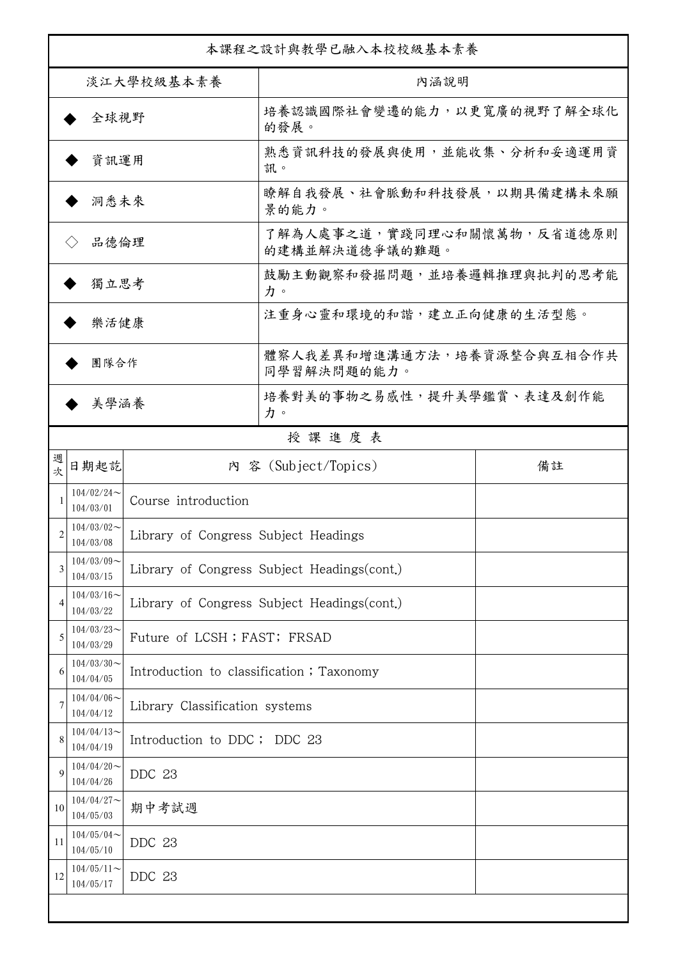| 本課程之設計與教學已融入本校校級基本素養 |                                                                    |                                              |                                              |    |  |
|----------------------|--------------------------------------------------------------------|----------------------------------------------|----------------------------------------------|----|--|
| 淡江大學校級基本素養           |                                                                    |                                              | 內涵說明                                         |    |  |
| 全球視野                 |                                                                    |                                              | 培養認識國際社會變遷的能力,以更寬廣的視野了解全球化<br>的發展。           |    |  |
| 資訊運用                 |                                                                    |                                              | 熟悉資訊科技的發展與使用,並能收集、分析和妥適運用資<br>訊。             |    |  |
| 洞悉未來                 |                                                                    |                                              | 瞭解自我發展、社會脈動和科技發展,以期具備建構未來願<br>景的能力。          |    |  |
| 品德倫理                 |                                                                    |                                              | 了解為人處事之道,實踐同理心和關懷萬物,反省道德原則<br>的建構並解決道德爭議的難題。 |    |  |
| 獨立思考                 |                                                                    |                                              | 鼓勵主動觀察和發掘問題,並培養邏輯推理與批判的思考能<br>力。             |    |  |
| 樂活健康                 |                                                                    |                                              | 注重身心靈和環境的和諧,建立正向健康的生活型態。                     |    |  |
| 團隊合作                 |                                                                    |                                              | 體察人我差異和增進溝通方法,培養資源整合與互相合作共<br>同學習解決問題的能力。    |    |  |
| 美學涵養                 |                                                                    |                                              | 培養對美的事物之易感性,提升美學鑑賞、表達及創作能<br>力。              |    |  |
|                      |                                                                    |                                              | 授課進度表                                        |    |  |
| 週<br>欤               | 日期起訖                                                               |                                              | 内 容 (Subject/Topics)                         | 備註 |  |
| 1                    | $104/02/24$ ~<br>104/03/01                                         | Course introduction                          |                                              |    |  |
| 2                    | $104/03/02$ ~<br>Library of Congress Subject Headings<br>104/03/08 |                                              |                                              |    |  |
| 3                    | $104/03/09$ ~<br>104/03/15                                         |                                              | Library of Congress Subject Headings (cont.) |    |  |
| $\overline{4}$       | $104/03/16$ ~<br>104/03/22                                         | Library of Congress Subject Headings (cont.) |                                              |    |  |
| 5                    | $104/03/23$ ~<br>104/03/29                                         | Future of LCSH; FAST; FRSAD                  |                                              |    |  |
| 6                    | $104/03/30$ ~<br>104/04/05                                         | Introduction to classification; Taxonomy     |                                              |    |  |
| 7                    | $104/04/06 \sim$<br>104/04/12                                      | Library Classification systems               |                                              |    |  |
| 8                    | $104/04/13$ ~<br>104/04/19                                         | Introduction to DDC; DDC 23                  |                                              |    |  |
| 9                    | $104/04/20$ ~<br>104/04/26                                         | DDC 23                                       |                                              |    |  |
| 10                   | $104/04/27$ ~<br>104/05/03                                         | 期中考試週                                        |                                              |    |  |
| 11                   | $104/05/04$ ~<br>104/05/10                                         | DDC 23                                       |                                              |    |  |
| 12                   | $104/05/11$ ~<br>104/05/17                                         | DDC 23                                       |                                              |    |  |
|                      |                                                                    |                                              |                                              |    |  |